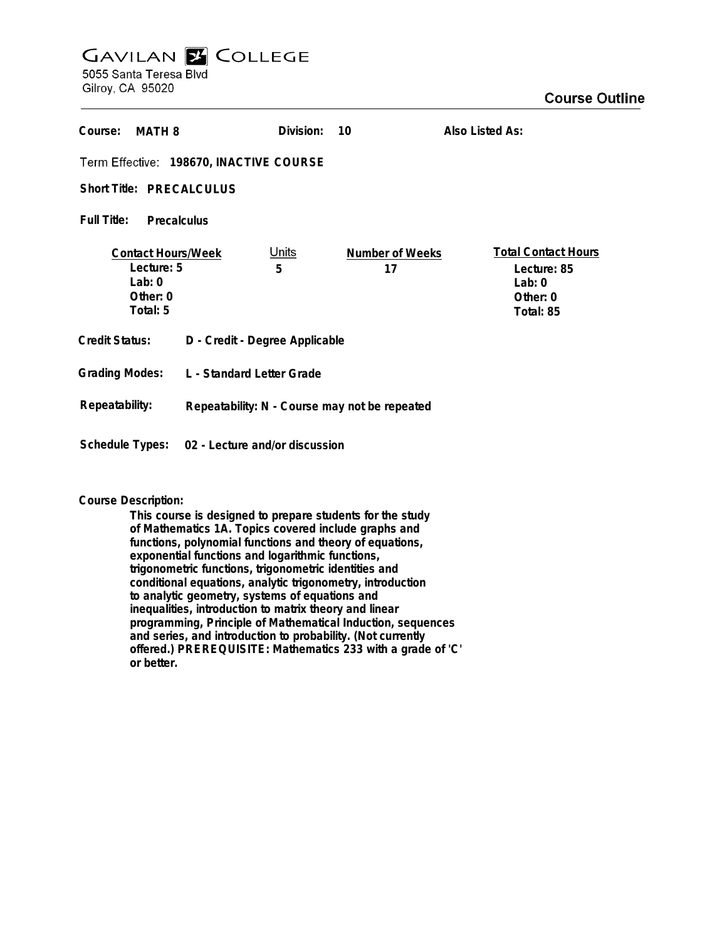# **GAVILAN E COLLEGE** 5055 Santa Teresa Blvd

Gilroy, CA 95020

| Course:<br><b>MATH 8</b>                                                      |                                               | Division:         | 10                    | Also Listed As:                                                                |
|-------------------------------------------------------------------------------|-----------------------------------------------|-------------------|-----------------------|--------------------------------------------------------------------------------|
| Term Effective: 198670, INACTIVE COURSE                                       |                                               |                   |                       |                                                                                |
| Short Title: PRECALCULUS                                                      |                                               |                   |                       |                                                                                |
| Full Title:<br>Precalculus                                                    |                                               |                   |                       |                                                                                |
| <b>Contact Hours/Week</b><br>Lecture: 5<br>Lab: $0$<br>Other: $0$<br>Total: 5 |                                               | <u>Units</u><br>5 | Number of Weeks<br>17 | <b>Total Contact Hours</b><br>Lecture: 85<br>Lab: $0$<br>Other: 0<br>Total: 85 |
| <b>Credit Status:</b>                                                         | D - Credit - Degree Applicable                |                   |                       |                                                                                |
| <b>Grading Modes:</b>                                                         | L - Standard Letter Grade                     |                   |                       |                                                                                |
| Repeatability:                                                                | Repeatability: N - Course may not be repeated |                   |                       |                                                                                |
| Schedule Types:                                                               | 02 - Lecture and/or discussion                |                   |                       |                                                                                |

# **Course Description:**

**This course is designed to prepare students for the study of Mathematics 1A. Topics covered include graphs and functions, polynomial functions and theory of equations, exponential functions and logarithmic functions, trigonometric functions, trigonometric identities and conditional equations, analytic trigonometry, introduction to analytic geometry, systems of equations and inequalities, introduction to matrix theory and linear programming, Principle of Mathematical Induction, sequences and series, and introduction to probability. (Not currently offered.) PREREQUISITE: Mathematics 233 with a grade of 'C' or better.**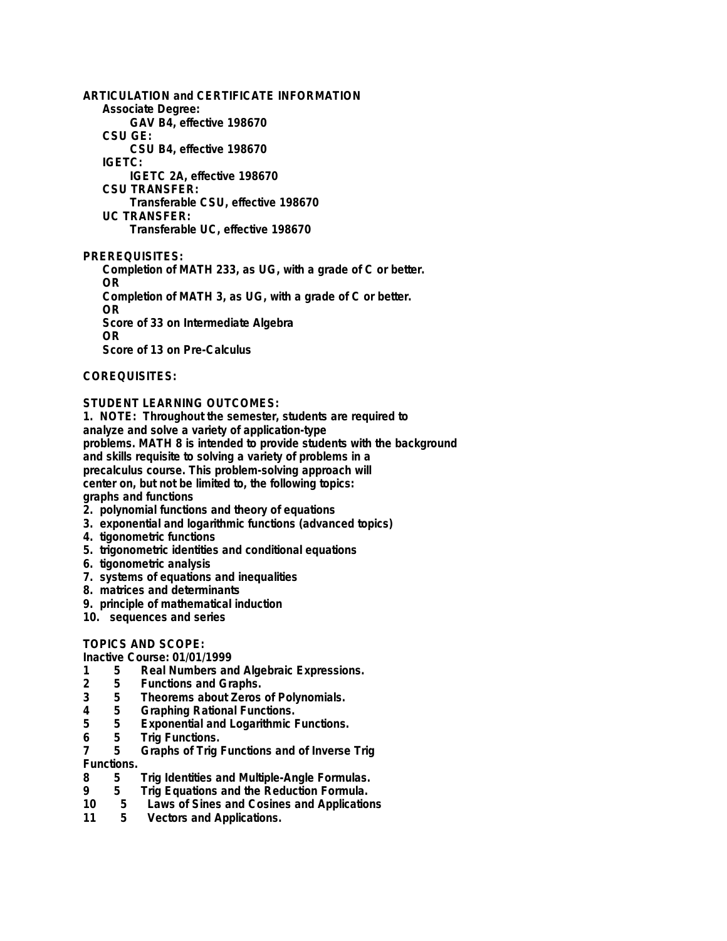**ARTICULATION and CERTIFICATE INFORMATION Associate Degree: GAV B4, effective 198670 CSU GE: CSU B4, effective 198670 IGETC: IGETC 2A, effective 198670 CSU TRANSFER: Transferable CSU, effective 198670 UC TRANSFER: Transferable UC, effective 198670**

**PREREQUISITES:**

**Completion of MATH 233, as UG, with a grade of C or better. OR Completion of MATH 3, as UG, with a grade of C or better. OR Score of 33 on Intermediate Algebra OR Score of 13 on Pre-Calculus**

## **COREQUISITES:**

## **STUDENT LEARNING OUTCOMES:**

**1. NOTE: Throughout the semester, students are required to analyze and solve a variety of application-type problems. MATH 8 is intended to provide students with the background and skills requisite to solving a variety of problems in a precalculus course. This problem-solving approach will center on, but not be limited to, the following topics: graphs and functions**

- **2. polynomial functions and theory of equations**
- **3. exponential and logarithmic functions (advanced topics)**
- **4. tigonometric functions**
- **5. trigonometric identities and conditional equations**
- **6. tigonometric analysis**
- **7. systems of equations and inequalities**
- **8. matrices and determinants**
- **9. principle of mathematical induction**
- **10. sequences and series**

## **TOPICS AND SCOPE:**

## **Inactive Course: 01/01/1999**

- **1 5 Real Numbers and Algebraic Expressions.**
- **2 5 Functions and Graphs.**
- **3 5 Theorems about Zeros of Polynomials.**
- **4 5 Graphing Rational Functions.**
- **5 5 Exponential and Logarithmic Functions.**
- **6 5 Trig Functions.**

#### **7 5 Graphs of Trig Functions and of Inverse Trig Functions.**

- **8 5 Trig Identities and Multiple-Angle Formulas.**
- **9 5 Trig Equations and the Reduction Formula.**
- **10 5 Laws of Sines and Cosines and Applications**
- **11 5 Vectors and Applications.**